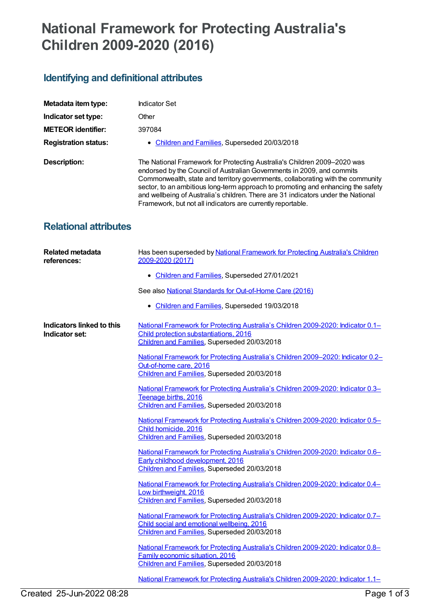## **National Framework for Protecting Australia's Children 2009-2020 (2016)**

## **Identifying and definitional attributes**

| Metadata item type:          | Indicator Set                                                                                                                                                                                                                                                                                                                                                                                                                                                                 |
|------------------------------|-------------------------------------------------------------------------------------------------------------------------------------------------------------------------------------------------------------------------------------------------------------------------------------------------------------------------------------------------------------------------------------------------------------------------------------------------------------------------------|
| Indicator set type:          | Other                                                                                                                                                                                                                                                                                                                                                                                                                                                                         |
| <b>METEOR</b> identifier:    | 397084                                                                                                                                                                                                                                                                                                                                                                                                                                                                        |
| <b>Registration status:</b>  | • Children and Families, Superseded 20/03/2018                                                                                                                                                                                                                                                                                                                                                                                                                                |
| Description:                 | The National Framework for Protecting Australia's Children 2009-2020 was<br>endorsed by the Council of Australian Governments in 2009, and commits<br>Commonwealth, state and territory governments, collaborating with the community<br>sector, to an ambitious long-term approach to promoting and enhancing the safety<br>and wellbeing of Australia's children. There are 31 indicators under the National<br>Framework, but not all indicators are currently reportable. |
| <b>Relational attributes</b> |                                                                                                                                                                                                                                                                                                                                                                                                                                                                               |

| <b>Related metadata</b><br>references:      | Has been superseded by National Framework for Protecting Australia's Children<br>2009-2020 (2017)                                                                              |
|---------------------------------------------|--------------------------------------------------------------------------------------------------------------------------------------------------------------------------------|
|                                             | • Children and Families, Superseded 27/01/2021                                                                                                                                 |
|                                             | See also National Standards for Out-of-Home Care (2016)                                                                                                                        |
|                                             | • Children and Families, Superseded 19/03/2018                                                                                                                                 |
| Indicators linked to this<br>Indicator set: | National Framework for Protecting Australia's Children 2009-2020: Indicator 0.1-<br>Child protection substantiations, 2016<br>Children and Families, Superseded 20/03/2018     |
|                                             | National Framework for Protecting Australia's Children 2009-2020: Indicator 0.2-<br>Out-of-home care, 2016<br>Children and Families, Superseded 20/03/2018                     |
|                                             | National Framework for Protecting Australia's Children 2009-2020: Indicator 0.3-<br>Teenage births, 2016<br>Children and Families, Superseded 20/03/2018                       |
|                                             | National Framework for Protecting Australia's Children 2009-2020: Indicator 0.5-<br>Child homicide, 2016<br>Children and Families, Superseded 20/03/2018                       |
|                                             | National Framework for Protecting Australia's Children 2009-2020: Indicator 0.6-<br>Early childhood development, 2016<br>Children and Families, Superseded 20/03/2018          |
|                                             | National Framework for Protecting Australia's Children 2009-2020: Indicator 0.4-<br>Low birthweight, 2016<br>Children and Families, Superseded 20/03/2018                      |
|                                             | National Framework for Protecting Australia's Children 2009-2020: Indicator 0.7-<br>Child social and emotional wellbeing, 2016<br>Children and Families, Superseded 20/03/2018 |
|                                             | National Framework for Protecting Australia's Children 2009-2020: Indicator 0.8-<br><b>Family economic situation, 2016</b><br>Children and Families, Superseded 20/03/2018     |
|                                             | National Framework for Protecting Australia's Children 2009-2020: Indicator 1.1-                                                                                               |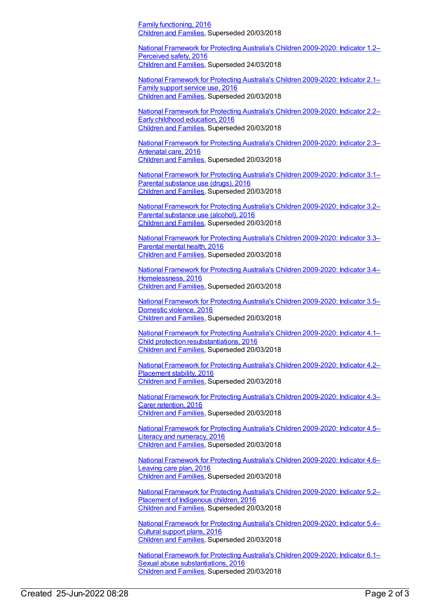Family functioning, 2016 [Children](https://meteor.aihw.gov.au/RegistrationAuthority/17) and Families, Superseded 20/03/2018

National Framework for Protecting Australia's Children [2009-2020:](https://meteor.aihw.gov.au/content/656872) Indicator 1.2– Perceived safety, 2016 [Children](https://meteor.aihw.gov.au/RegistrationAuthority/17) and Families, Superseded 24/03/2018

National Framework for Protecting Australia's Children [2009-2020:](https://meteor.aihw.gov.au/content/656889) Indicator 2.1– Family support service use, 2016 [Children](https://meteor.aihw.gov.au/RegistrationAuthority/17) and Families, Superseded 20/03/2018

National Framework for Protecting Australia's Children [2009-2020:](https://meteor.aihw.gov.au/content/656891) Indicator 2.2– Early childhood education, 2016 [Children](https://meteor.aihw.gov.au/RegistrationAuthority/17) and Families, Superseded 20/03/2018

National Framework for Protecting Australia's Children [2009-2020:](https://meteor.aihw.gov.au/content/656893) Indicator 2.3– Antenatal care, 2016 [Children](https://meteor.aihw.gov.au/RegistrationAuthority/17) and Families, Superseded 20/03/2018

National Framework for Protecting Australia's Children [2009-2020:](https://meteor.aihw.gov.au/content/656895) Indicator 3.1– Parental substance use (drugs), 2016 [Children](https://meteor.aihw.gov.au/RegistrationAuthority/17) and Families, Superseded 20/03/2018

National Framework for Protecting Australia's Children [2009-2020:](https://meteor.aihw.gov.au/content/656897) Indicator 3.2– Parental substance use (alcohol), 2016 [Children](https://meteor.aihw.gov.au/RegistrationAuthority/17) and Families, Superseded 20/03/2018

National Framework for Protecting Australia's Children [2009-2020:](https://meteor.aihw.gov.au/content/656899) Indicator 3.3– Parental mental health, 2016 [Children](https://meteor.aihw.gov.au/RegistrationAuthority/17) and Families, Superseded 20/03/2018

National Framework for Protecting Australia's Children 2009-2020: Indicator 3.4– [Homelessness,](https://meteor.aihw.gov.au/content/656901) 2016 [Children](https://meteor.aihw.gov.au/RegistrationAuthority/17) and Families, Superseded 20/03/2018

National Framework for Protecting Australia's Children [2009-2020:](https://meteor.aihw.gov.au/content/656903) Indicator 3.5– Domestic violence, 2016 [Children](https://meteor.aihw.gov.au/RegistrationAuthority/17) and Families, Superseded 20/03/2018

National Framework for Protecting Australia's Children 2009-2020: Indicator 4.1– Child protection [resubstantiations,](https://meteor.aihw.gov.au/content/656905) 2016 [Children](https://meteor.aihw.gov.au/RegistrationAuthority/17) and Families, Superseded 20/03/2018

National Framework for Protecting Australia's Children [2009-2020:](https://meteor.aihw.gov.au/content/656907) Indicator 4.2– Placement stability, 2016 [Children](https://meteor.aihw.gov.au/RegistrationAuthority/17) and Families, Superseded 20/03/2018

National Framework for Protecting Australia's Children [2009-2020:](https://meteor.aihw.gov.au/content/656912) Indicator 4.3– Carer retention, 2016 [Children](https://meteor.aihw.gov.au/RegistrationAuthority/17) and Families, Superseded 20/03/2018

National Framework for Protecting Australia's Children [2009-2020:](https://meteor.aihw.gov.au/content/656914) Indicator 4.5– Literacy and numeracy, 2016 [Children](https://meteor.aihw.gov.au/RegistrationAuthority/17) and Families, Superseded 20/03/2018

National Framework for Protecting Australia's Children [2009-2020:](https://meteor.aihw.gov.au/content/656916) Indicator 4.6– Leaving care plan, 2016 [Children](https://meteor.aihw.gov.au/RegistrationAuthority/17) and Families, Superseded 20/03/2018

National Framework for Protecting Australia's Children [2009-2020:](https://meteor.aihw.gov.au/content/656920) Indicator 5.2– Placement of Indigenous children, 2016 [Children](https://meteor.aihw.gov.au/RegistrationAuthority/17) and Families, Superseded 20/03/2018

National Framework for Protecting Australia's Children [2009-2020:](https://meteor.aihw.gov.au/content/656924) Indicator 5.4– Cultural support plans, 2016 [Children](https://meteor.aihw.gov.au/RegistrationAuthority/17) and Families, Superseded 20/03/2018

National Framework for Protecting Australia's Children 2009-2020: Indicator 6.1– Sexual abuse [substantiations,](https://meteor.aihw.gov.au/content/656928) 2016 [Children](https://meteor.aihw.gov.au/RegistrationAuthority/17) and Families, Superseded 20/03/2018